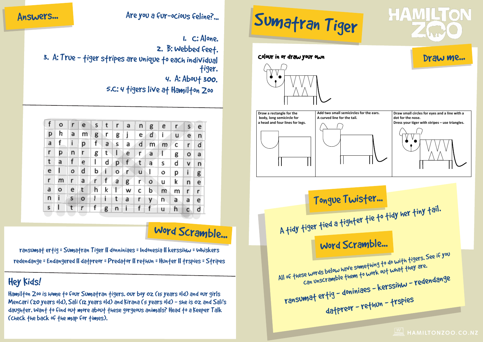**ANSWER**

## Answers... Are you a fur-ocious feline?...

- 1. C: Alone.
- 2. B: Webbed feet.
- 3. A: True tiger stripes are unique to each individual tiger.
	- 4. A: About 300.
- 2 in the Weka Walk? How many species 5.C: 4 tigers live at Hamilton Zoo

of native frogs



## Word Scramble...

redendange = Endangered II da†preor = Preda†or II re†hun = Hun†er II †rspies = S†ripes species in the freeflight aviary ransumat ertig = Sumatran Tiger || donniniaes = Indonesia || kerssihw = Whiskers

### $\frac{1}{2}$ ĺ Hey Kids!

5

.<br>Hamilfon Zoo is home fo four Sumafran figers. our boy 0z (15 years old) and our girls Mencari (20 years old), Sali (12 years old) and Kirana (5 years old) - she is Oz and Sali's daughter. Want to find out more about these gorgeous animals? Head to a Keeper Talk (check the back of the map for times).

### dot for the nose.<br>Dress your tiger with stripes – use triangles.  $\bigcap$  $\frac{1}{2}$  $\left(\begin{array}{c} \bullet \\ \bullet \end{array}\right)$  where  $\left(\begin{array}{c} \bullet \\ \bullet \end{array}\right)$ is now considered one ofthe  $\mathbb{R}$  most end and  $\mathbb{R}$  $\overline{\phantom{a}}$  and  $\overline{\phantom{a}}$  or  $\overline{\phantom{a}}$  or  $\overline{\phantom{a}}$  or  $\overline{\phantom{a}}$  or  $\overline{\phantom{a}}$  or  $\overline{\phantom{a}}$ **Draw a rectangle for the ANSWER** Sumatran Tiger Draw me... Colour in or draw your own  $body$ , long semicircle for  $a$  **head and four lines for legs.** Add two small semicircles for the ears.  $A$  curved line for the tail. **Draw small circles for eyes and a line with a**  $dot$  for the nose.